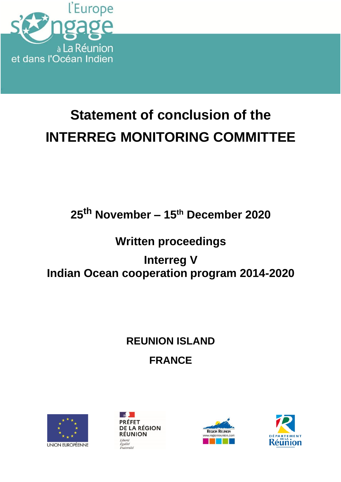

# **Statement of conclusion of the INTERREG MONITORING COMMITTEE**

## **25th November – 15th December 2020**

### **Written proceedings**

### **Interreg V Indian Ocean cooperation program 2014-2020**

## **REUNION ISLAND FRANCE**







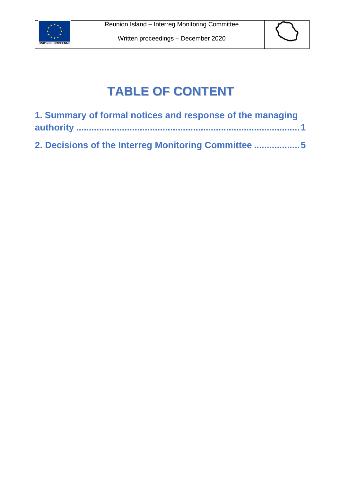



## **TABLE OF CONTENT**

| 1. Summary of formal notices and response of the managing |  |
|-----------------------------------------------------------|--|
|                                                           |  |
| 2. Decisions of the Interreg Monitoring Committee 5       |  |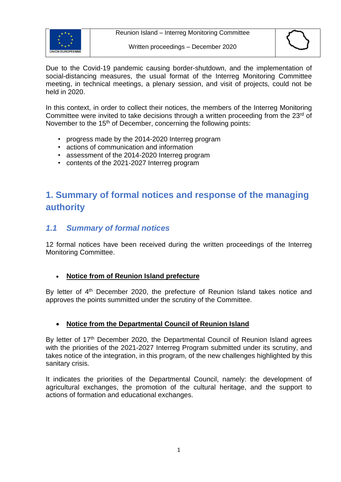



Due to the Covid-19 pandemic causing border-shutdown, and the implementation of social-distancing measures, the usual format of the Interreg Monitoring Committee meeting, in technical meetings, a plenary session, and visit of projects, could not be held in 2020.

In this context, in order to collect their notices, the members of the Interreg Monitoring Committee were invited to take decisions through a written proceeding from the 23<sup>rd</sup> of November to the 15<sup>th</sup> of December, concerning the following points:

- progress made by the 2014-2020 Interreg program
- actions of communication and information
- assessment of the 2014-2020 Interreg program
- contents of the 2021-2027 Interreg program

### <span id="page-2-0"></span>**1. Summary of formal notices and response of the managing authority**

#### *1.1 Summary of formal notices*

12 formal notices have been received during the written proceedings of the Interreg Monitoring Committee.

#### • **Notice from of Reunion Island prefecture**

By letter of 4<sup>th</sup> December 2020, the prefecture of Reunion Island takes notice and approves the points summitted under the scrutiny of the Committee.

#### • **Notice from the Departmental Council of Reunion Island**

By letter of 17<sup>th</sup> December 2020, the Departmental Council of Reunion Island agrees with the priorities of the 2021-2027 Interreg Program submitted under its scrutiny, and takes notice of the integration, in this program, of the new challenges highlighted by this sanitary crisis.

It indicates the priorities of the Departmental Council, namely: the development of agricultural exchanges, the promotion of the cultural heritage, and the support to actions of formation and educational exchanges.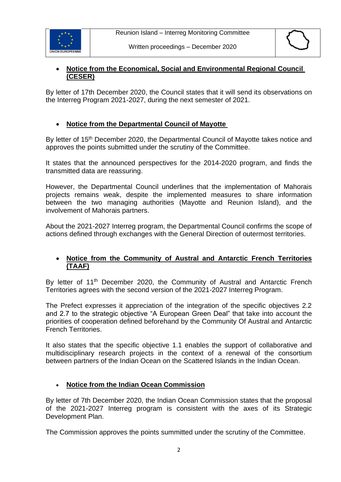



#### • **Notice from the Economical, Social and Environmental Regional Council (CESER)**

By letter of 17th December 2020, the Council states that it will send its observations on the Interreg Program 2021-2027, during the next semester of 2021.

#### • **Notice from the Departmental Council of Mayotte**

By letter of 15<sup>th</sup> December 2020, the Departmental Council of Mayotte takes notice and approves the points submitted under the scrutiny of the Committee.

It states that the announced perspectives for the 2014-2020 program, and finds the transmitted data are reassuring.

However, the Departmental Council underlines that the implementation of Mahorais projects remains weak, despite the implemented measures to share information between the two managing authorities (Mayotte and Reunion Island), and the involvement of Mahorais partners.

About the 2021-2027 Interreg program, the Departmental Council confirms the scope of actions defined through exchanges with the General Direction of outermost territories.

#### • **Notice from the Community of Austral and Antarctic French Territories (TAAF)**

By letter of 11<sup>th</sup> December 2020, the Community of Austral and Antarctic French Territories agrees with the second version of the 2021-2027 Interreg Program.

The Prefect expresses it appreciation of the integration of the specific objectives 2.2 and 2.7 to the strategic objective "A European Green Deal" that take into account the priorities of cooperation defined beforehand by the Community Of Austral and Antarctic French Territories.

It also states that the specific objective 1.1 enables the support of collaborative and multidisciplinary research projects in the context of a renewal of the consortium between partners of the Indian Ocean on the Scattered Islands in the Indian Ocean.

#### • **Notice from the Indian Ocean Commission**

By letter of 7th December 2020, the Indian Ocean Commission states that the proposal of the 2021-2027 Interreg program is consistent with the axes of its Strategic Development Plan.

The Commission approves the points summitted under the scrutiny of the Committee.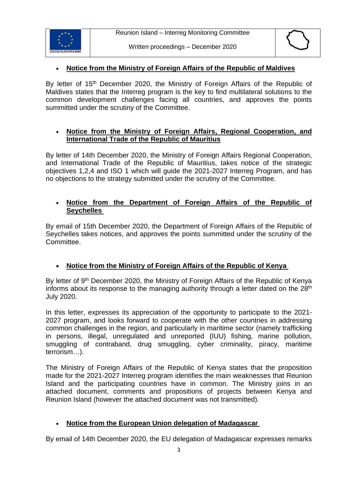



#### • **Notice from the Ministry of Foreign Affairs of the Republic of Maldives**

By letter of 15<sup>th</sup> December 2020, the Ministry of Foreign Affairs of the Republic of Maldives states that the Interreg program is the key to find multilateral solutions to the common development challenges facing all countries, and approves the points summitted under the scrutiny of the Committee.

#### • **Notice from the Ministry of Foreign Affairs, Regional Cooperation, and International Trade of the Republic of Mauritius**

By letter of 14th December 2020, the Ministry of Foreign Affairs Regional Cooperation, and International Trade of the Republic of Mauritius, takes notice of the strategic objectives 1,2,4 and ISO 1 which will guide the 2021-2027 Interreg Program, and has no objections to the strategy submitted under the scrutiny of the Committee.

#### • **Notice from the Department of Foreign Affairs of the Republic of Seychelles**

By email of 15th December 2020, the Department of Foreign Affairs of the Republic of Seychelles takes notices, and approves the points summitted under the scrutiny of the Committee.

#### • **Notice from the Ministry of Foreign Affairs of the Republic of Kenya**

By letter of 9<sup>th</sup> December 2020, the Ministry of Foreign Affairs of the Republic of Kenya informs about its response to the managing authority through a letter dated on the 28<sup>th</sup> July 2020.

In this letter, expresses its appreciation of the opportunity to participate to the 2021- 2027 program, and looks forward to cooperate with the other countries in addressing common challenges in the region, and particularly in maritime sector (namely trafficking in persons, illegal, unregulated and unreported (IUU) fishing, marine pollution, smuggling of contraband, drug smuggling, cyber criminality, piracy, maritime terrorism…).

The Ministry of Foreign Affairs of the Republic of Kenya states that the proposition made for the 2021-2027 Interreg program identifies the main weaknesses that Reunion Island and the participating countries have in common. The Ministry joins in an attached document, comments and propositions of projects between Kenya and Reunion Island (however the attached document was not transmitted).

#### • **Notice from the European Union delegation of Madagascar**

By email of 14th December 2020, the EU delegation of Madagascar expresses remarks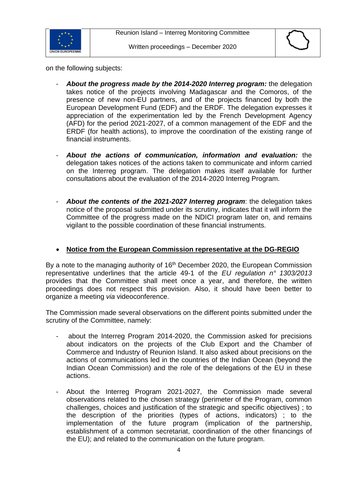

on the following subjects:

- *About the progress made by the 2014-2020 Interreg program:* the delegation takes notice of the projects involving Madagascar and the Comoros, of the presence of new non-EU partners, and of the projects financed by both the European Development Fund (EDF) and the ERDF. The delegation expresses it appreciation of the experimentation led by the French Development Agency (AFD) for the period 2021-2027, of a common management of the EDF and the ERDF (for health actions), to improve the coordination of the existing range of financial instruments.
- *About the actions of communication, information and evaluation:* the delegation takes notices of the actions taken to communicate and inform carried on the Interreg program. The delegation makes itself available for further consultations about the evaluation of the 2014-2020 Interreg Program.
- *About the contents of the 2021-2027 Interreg program*: the delegation takes notice of the proposal submitted under its scrutiny, indicates that it will inform the Committee of the progress made on the NDICI program later on, and remains vigilant to the possible coordination of these financial instruments.

#### • **Notice from the European Commission representative at the DG-REGIO**

By a note to the managing authority of 16<sup>th</sup> December 2020, the European Commission representative underlines that the article 49-1 of the *EU regulation n° 1303/2013* provides that the Committee shall meet once a year, and therefore, the written proceedings does not respect this provision. Also, it should have been better to organize a meeting *via* videoconference.

The Commission made several observations on the different points submitted under the scrutiny of the Committee, namely:

- about the Interreg Program 2014-2020, the Commission asked for precisions about indicators on the projects of the Club Export and the Chamber of Commerce and Industry of Reunion Island. It also asked about precisions on the actions of communications led in the countries of the Indian Ocean (beyond the Indian Ocean Commission) and the role of the delegations of the EU in these actions.
- About the Interreg Program 2021-2027, the Commission made several observations related to the chosen strategy (perimeter of the Program, common challenges, choices and justification of the strategic and specific objectives) ; to the description of the priorities (types of actions, indicators) ; to the implementation of the future program (implication of the partnership, establishment of a common secretariat, coordination of the other financings of the EU); and related to the communication on the future program.